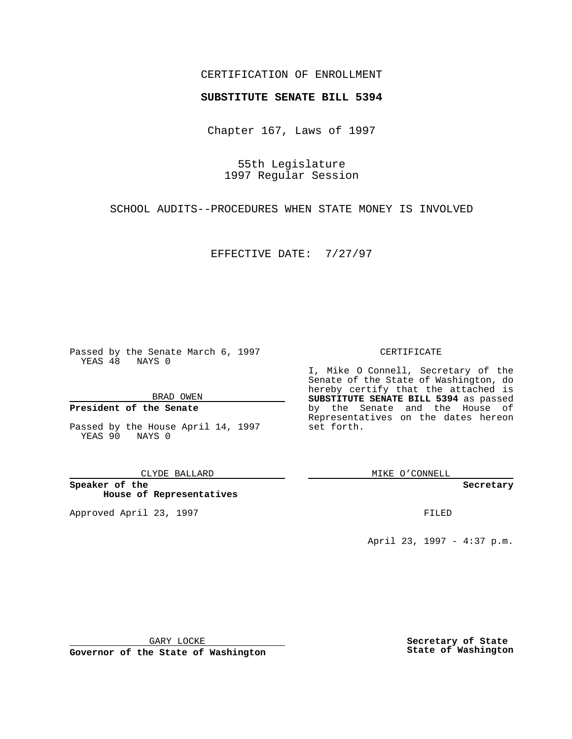### CERTIFICATION OF ENROLLMENT

# **SUBSTITUTE SENATE BILL 5394**

Chapter 167, Laws of 1997

55th Legislature 1997 Regular Session

SCHOOL AUDITS--PROCEDURES WHEN STATE MONEY IS INVOLVED

EFFECTIVE DATE: 7/27/97

Passed by the Senate March 6, 1997 YEAS 48 NAYS 0

BRAD OWEN

### **President of the Senate**

Passed by the House April 14, 1997 YEAS 90 NAYS 0

CLYDE BALLARD

**Speaker of the House of Representatives**

Approved April 23, 1997 **FILED** 

### CERTIFICATE

I, Mike O Connell, Secretary of the Senate of the State of Washington, do hereby certify that the attached is **SUBSTITUTE SENATE BILL 5394** as passed by the Senate and the House of Representatives on the dates hereon set forth.

MIKE O'CONNELL

#### **Secretary**

April 23, 1997 - 4:37 p.m.

GARY LOCKE

**Governor of the State of Washington**

**Secretary of State State of Washington**